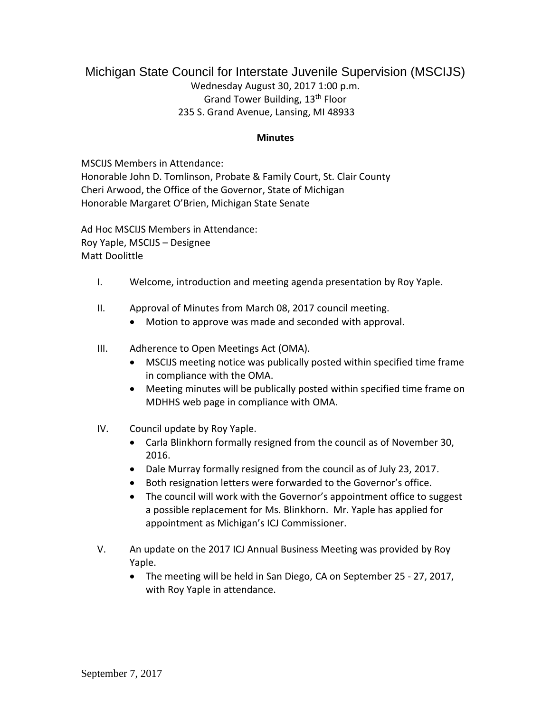## Michigan State Council for Interstate Juvenile Supervision (MSCIJS) Wednesday August 30, 2017 1:00 p.m. Grand Tower Building, 13th Floor 235 S. Grand Avenue, Lansing, MI 48933

## **Minutes**

MSCIJS Members in Attendance: Honorable John D. Tomlinson, Probate & Family Court, St. Clair County Cheri Arwood, the Office of the Governor, State of Michigan Honorable Margaret O'Brien, Michigan State Senate

Ad Hoc MSCIJS Members in Attendance: Roy Yaple, MSCIJS – Designee Matt Doolittle

- I. Welcome, introduction and meeting agenda presentation by Roy Yaple.
- II. Approval of Minutes from March 08, 2017 council meeting.
	- Motion to approve was made and seconded with approval.
- III. Adherence to Open Meetings Act (OMA).
	- MSCIJS meeting notice was publically posted within specified time frame in compliance with the OMA.
	- Meeting minutes will be publically posted within specified time frame on MDHHS web page in compliance with OMA.
- IV. Council update by Roy Yaple.
	- Carla Blinkhorn formally resigned from the council as of November 30, 2016.
	- Dale Murray formally resigned from the council as of July 23, 2017.
	- Both resignation letters were forwarded to the Governor's office.
	- The council will work with the Governor's appointment office to suggest a possible replacement for Ms. Blinkhorn. Mr. Yaple has applied for appointment as Michigan's ICJ Commissioner.
- V. An update on the 2017 ICJ Annual Business Meeting was provided by Roy Yaple.
	- The meeting will be held in San Diego, CA on September 25 27, 2017, with Roy Yaple in attendance.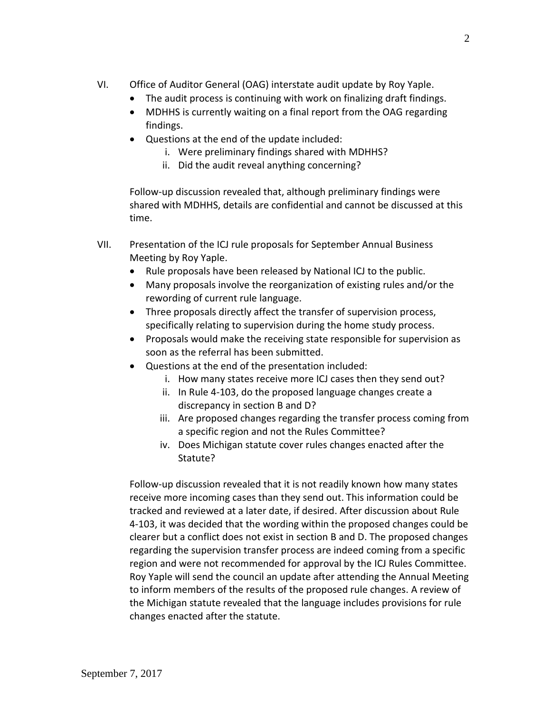- VI. Office of Auditor General (OAG) interstate audit update by Roy Yaple.
	- The audit process is continuing with work on finalizing draft findings.
	- MDHHS is currently waiting on a final report from the OAG regarding findings.
	- Questions at the end of the update included:
		- i. Were preliminary findings shared with MDHHS?
		- ii. Did the audit reveal anything concerning?

Follow-up discussion revealed that, although preliminary findings were shared with MDHHS, details are confidential and cannot be discussed at this time.

- VII. Presentation of the ICJ rule proposals for September Annual Business Meeting by Roy Yaple.
	- Rule proposals have been released by National ICJ to the public.
	- Many proposals involve the reorganization of existing rules and/or the rewording of current rule language.
	- Three proposals directly affect the transfer of supervision process, specifically relating to supervision during the home study process.
	- Proposals would make the receiving state responsible for supervision as soon as the referral has been submitted.
	- Questions at the end of the presentation included:
		- i. How many states receive more ICJ cases then they send out?
		- ii. In Rule 4-103, do the proposed language changes create a discrepancy in section B and D?
		- iii. Are proposed changes regarding the transfer process coming from a specific region and not the Rules Committee?
		- iv. Does Michigan statute cover rules changes enacted after the Statute?

Follow-up discussion revealed that it is not readily known how many states receive more incoming cases than they send out. This information could be tracked and reviewed at a later date, if desired. After discussion about Rule 4-103, it was decided that the wording within the proposed changes could be clearer but a conflict does not exist in section B and D. The proposed changes regarding the supervision transfer process are indeed coming from a specific region and were not recommended for approval by the ICJ Rules Committee. Roy Yaple will send the council an update after attending the Annual Meeting to inform members of the results of the proposed rule changes. A review of the Michigan statute revealed that the language includes provisions for rule changes enacted after the statute.